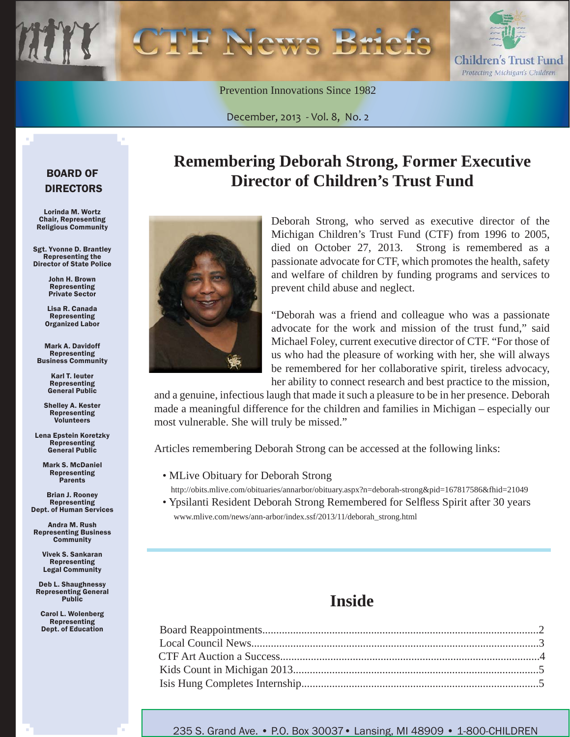Children's Trust Fund Protecting Michigan's Children

Prevention Innovations Since 1982

December, 2013 - Vol. 8, No. 2

#### BOARD OF DIRECTORS

Lorinda M. Wortz Chair, Representing Religious Community

Sgt. Yvonne D. Brantley Representing the Director of State Police

> John H. Brown Representing Private Sector

Lisa R. Canada Representing Organized Labor

Mark A. Davidoff Representing Business Community

> Karl T. Ieuter Representing General Public

Shelley A. Kester Representing Volunteers

Lena Epstein Koretzky Representing General Public

Mark S. McDaniel Representing Parents

Brian J. Rooney Representing Dept. of Human Services

Andra M. Rush Representing Business **Community** 

> Vivek S. Sankaran Representing Legal Community

Deb L. Shaughnessy Representing General Public

Carol L. Wolenberg Representing Dept. of Education

# **Remembering Deborah Strong, Former Executive Director of Children's Trust Fund**



Deborah Strong, who served as executive director of the Michigan Children's Trust Fund (CTF) from 1996 to 2005, died on October 27, 2013. Strong is remembered as a passionate advocate for CTF, which promotes the health, safety and welfare of children by funding programs and services to prevent child abuse and neglect.

"Deborah was a friend and colleague who was a passionate advocate for the work and mission of the trust fund," said Michael Foley, current executive director of CTF. "For those of us who had the pleasure of working with her, she will always be remembered for her collaborative spirit, tireless advocacy, her ability to connect research and best practice to the mission,

and a genuine, infectious laugh that made it such a pleasure to be in her presence. Deborah made a meaningful difference for the children and families in Michigan – especially our most vulnerable. She will truly be missed."

Articles remembering Deborah Strong can be accessed at the following links:

- MLive Obituary for Deborah Strong
- http://obits.mlive.com/obituaries/annarbor/obituary.aspx?n=deborah-strong&pid=167817586&fhid=21049
- Ypsilanti Resident Deborah Strong Remembered for Selfless Spirit after 30 years www.mlive.com/news/ann-arbor/index.ssf/2013/11/deborah\_strong.html

## **Inside**

235 S. Grand Ave. • P.O. Box 30037• Lansing, MI 48909 • 1-800-CHILDREN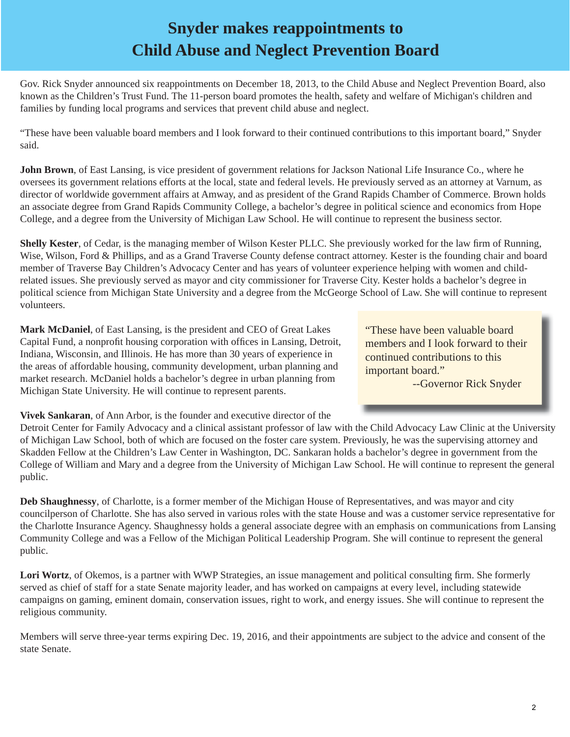# **Snyder makes reappointments to Child Abuse and Neglect Prevention Board**

Gov. Rick Snyder announced six reappointments on December 18, 2013, to the Child Abuse and Neglect Prevention Board, also known as the Children's Trust Fund. The 11-person board promotes the health, safety and welfare of Michigan's children and families by funding local programs and services that prevent child abuse and neglect.

"These have been valuable board members and I look forward to their continued contributions to this important board," Snyder said.

**John Brown**, of East Lansing, is vice president of government relations for Jackson National Life Insurance Co., where he oversees its government relations efforts at the local, state and federal levels. He previously served as an attorney at Varnum, as director of worldwide government affairs at Amway, and as president of the Grand Rapids Chamber of Commerce. Brown holds an associate degree from Grand Rapids Community College, a bachelor's degree in political science and economics from Hope College, and a degree from the University of Michigan Law School. He will continue to represent the business sector.

**Shelly Kester**, of Cedar, is the managing member of Wilson Kester PLLC. She previously worked for the law firm of Running, Wise, Wilson, Ford & Phillips, and as a Grand Traverse County defense contract attorney. Kester is the founding chair and board member of Traverse Bay Children's Advocacy Center and has years of volunteer experience helping with women and childrelated issues. She previously served as mayor and city commissioner for Traverse City. Kester holds a bachelor's degree in political science from Michigan State University and a degree from the McGeorge School of Law. She will continue to represent volunteers.

**Mark McDaniel**, of East Lansing, is the president and CEO of Great Lakes Capital Fund, a nonprofit housing corporation with offices in Lansing, Detroit, Indiana, Wisconsin, and Illinois. He has more than 30 years of experience in the areas of affordable housing, community development, urban planning and market research. McDaniel holds a bachelor's degree in urban planning from Michigan State University. He will continue to represent parents.

 "These have been valuable board members and I look forward to their continued contributions to this important board."

--Governor Rick Snyder

**Vivek Sankaran**, of Ann Arbor, is the founder and executive director of the

Detroit Center for Family Advocacy and a clinical assistant professor of law with the Child Advocacy Law Clinic at the University of Michigan Law School, both of which are focused on the foster care system. Previously, he was the supervising attorney and Skadden Fellow at the Children's Law Center in Washington, DC. Sankaran holds a bachelor's degree in government from the College of William and Mary and a degree from the University of Michigan Law School. He will continue to represent the general public.

**Deb Shaughnessy**, of Charlotte, is a former member of the Michigan House of Representatives, and was mayor and city councilperson of Charlotte. She has also served in various roles with the state House and was a customer service representative for the Charlotte Insurance Agency. Shaughnessy holds a general associate degree with an emphasis on communications from Lansing Community College and was a Fellow of the Michigan Political Leadership Program. She will continue to represent the general public.

Lori Wortz, of Okemos, is a partner with WWP Strategies, an issue management and political consulting firm. She formerly served as chief of staff for a state Senate majority leader, and has worked on campaigns at every level, including statewide campaigns on gaming, eminent domain, conservation issues, right to work, and energy issues. She will continue to represent the religious community.

Members will serve three-year terms expiring Dec. 19, 2016, and their appointments are subject to the advice and consent of the state Senate.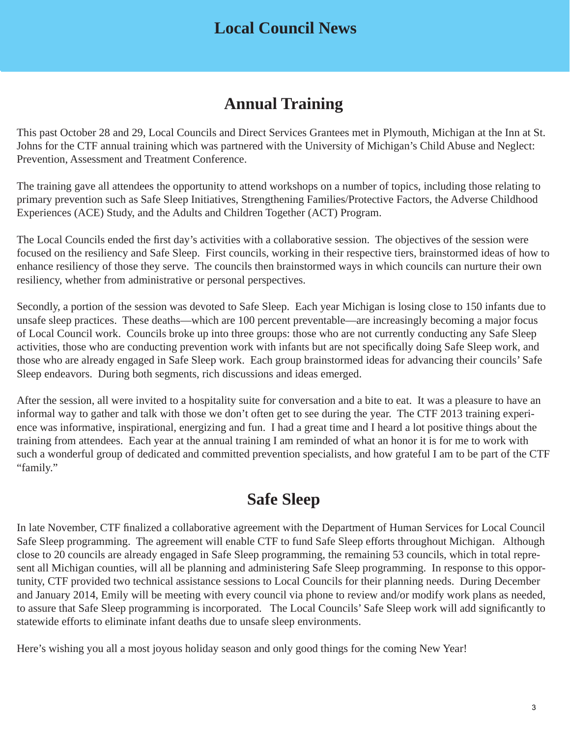### **Local Council News**

## **Annual Training**

This past October 28 and 29, Local Councils and Direct Services Grantees met in Plymouth, Michigan at the Inn at St. Johns for the CTF annual training which was partnered with the University of Michigan's Child Abuse and Neglect: Prevention, Assessment and Treatment Conference.

The training gave all attendees the opportunity to attend workshops on a number of topics, including those relating to primary prevention such as Safe Sleep Initiatives, Strengthening Families/Protective Factors, the Adverse Childhood Experiences (ACE) Study, and the Adults and Children Together (ACT) Program.

The Local Councils ended the first day's activities with a collaborative session. The objectives of the session were focused on the resiliency and Safe Sleep. First councils, working in their respective tiers, brainstormed ideas of how to enhance resiliency of those they serve. The councils then brainstormed ways in which councils can nurture their own resiliency, whether from administrative or personal perspectives.

Secondly, a portion of the session was devoted to Safe Sleep. Each year Michigan is losing close to 150 infants due to unsafe sleep practices. These deaths—which are 100 percent preventable—are increasingly becoming a major focus of Local Council work. Councils broke up into three groups: those who are not currently conducting any Safe Sleep activities, those who are conducting prevention work with infants but are not specifically doing Safe Sleep work, and those who are already engaged in Safe Sleep work. Each group brainstormed ideas for advancing their councils' Safe Sleep endeavors. During both segments, rich discussions and ideas emerged.

After the session, all were invited to a hospitality suite for conversation and a bite to eat. It was a pleasure to have an informal way to gather and talk with those we don't often get to see during the year. The CTF 2013 training experience was informative, inspirational, energizing and fun. I had a great time and I heard a lot positive things about the training from attendees. Each year at the annual training I am reminded of what an honor it is for me to work with such a wonderful group of dedicated and committed prevention specialists, and how grateful I am to be part of the CTF "family."

# **Safe Sleep**

In late November, CTF finalized a collaborative agreement with the Department of Human Services for Local Council Safe Sleep programming. The agreement will enable CTF to fund Safe Sleep efforts throughout Michigan. Although close to 20 councils are already engaged in Safe Sleep programming, the remaining 53 councils, which in total represent all Michigan counties, will all be planning and administering Safe Sleep programming. In response to this opportunity, CTF provided two technical assistance sessions to Local Councils for their planning needs. During December and January 2014, Emily will be meeting with every council via phone to review and/or modify work plans as needed, to assure that Safe Sleep programming is incorporated. The Local Councils' Safe Sleep work will add significantly to statewide efforts to eliminate infant deaths due to unsafe sleep environments.

Here's wishing you all a most joyous holiday season and only good things for the coming New Year!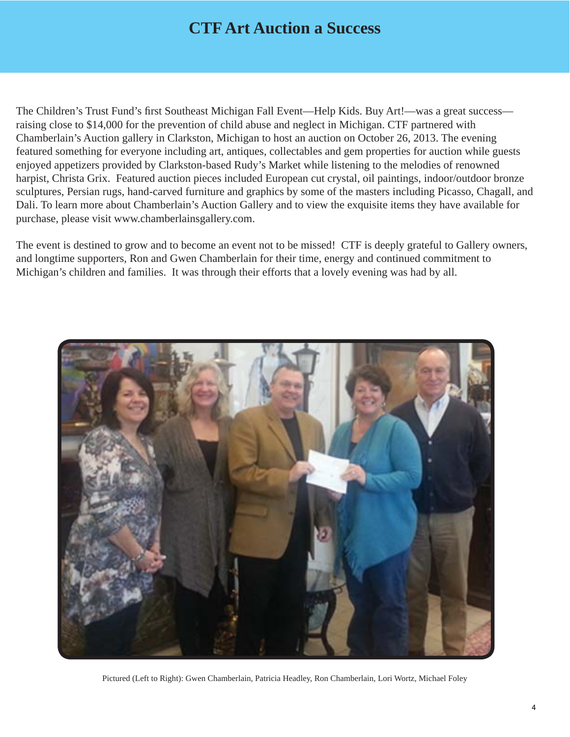## **CTF Art Auction a Success**

The Children's Trust Fund's first Southeast Michigan Fall Event—Help Kids. Buy Art!—was a great success raising close to \$14,000 for the prevention of child abuse and neglect in Michigan. CTF partnered with Chamberlain's Auction gallery in Clarkston, Michigan to host an auction on October 26, 2013. The evening featured something for everyone including art, antiques, collectables and gem properties for auction while guests enjoyed appetizers provided by Clarkston-based Rudy's Market while listening to the melodies of renowned harpist, Christa Grix. Featured auction pieces included European cut crystal, oil paintings, indoor/outdoor bronze sculptures, Persian rugs, hand-carved furniture and graphics by some of the masters including Picasso, Chagall, and Dali. To learn more about Chamberlain's Auction Gallery and to view the exquisite items they have available for purchase, please visit www.chamberlainsgallery.com.

The event is destined to grow and to become an event not to be missed! CTF is deeply grateful to Gallery owners, and longtime supporters, Ron and Gwen Chamberlain for their time, energy and continued commitment to Michigan's children and families. It was through their efforts that a lovely evening was had by all.



Pictured (Left to Right): Gwen Chamberlain, Patricia Headley, Ron Chamberlain, Lori Wortz, Michael Foley